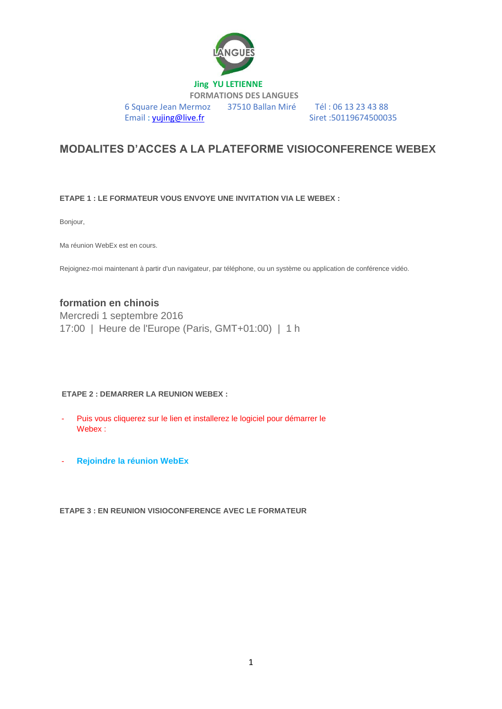

## **MODALITES D'ACCES A LA PLATEFORME VISIOCONFERENCE WEBEX**

**ETAPE 1 : LE FORMATEUR VOUS ENVOYE UNE INVITATION VIA LE WEBEX :** 

Bonjour,

Ma réunion WebEx est en cours.

Rejoignez-moi maintenant à partir d'un navigateur, par téléphone, ou un système ou application de conférence vidéo.

## **formation en chinois**

Mercredi 1 septembre 2016 17:00 | Heure de l'Europe (Paris, GMT+01:00) | 1 h

## **ETAPE 2 : DEMARRER LA REUNION WEBEX :**

- Puis vous cliquerez sur le lien et installerez le logiciel pour démarrer le Webex :
- **[Rejoindre la réunion WebEx](https://proformation.webex.com/proformation/e.php?MTID=m29f18bea7309ef065abc0e247647f05c)**

**ETAPE 3 : EN REUNION VISIOCONFERENCE AVEC LE FORMATEUR**